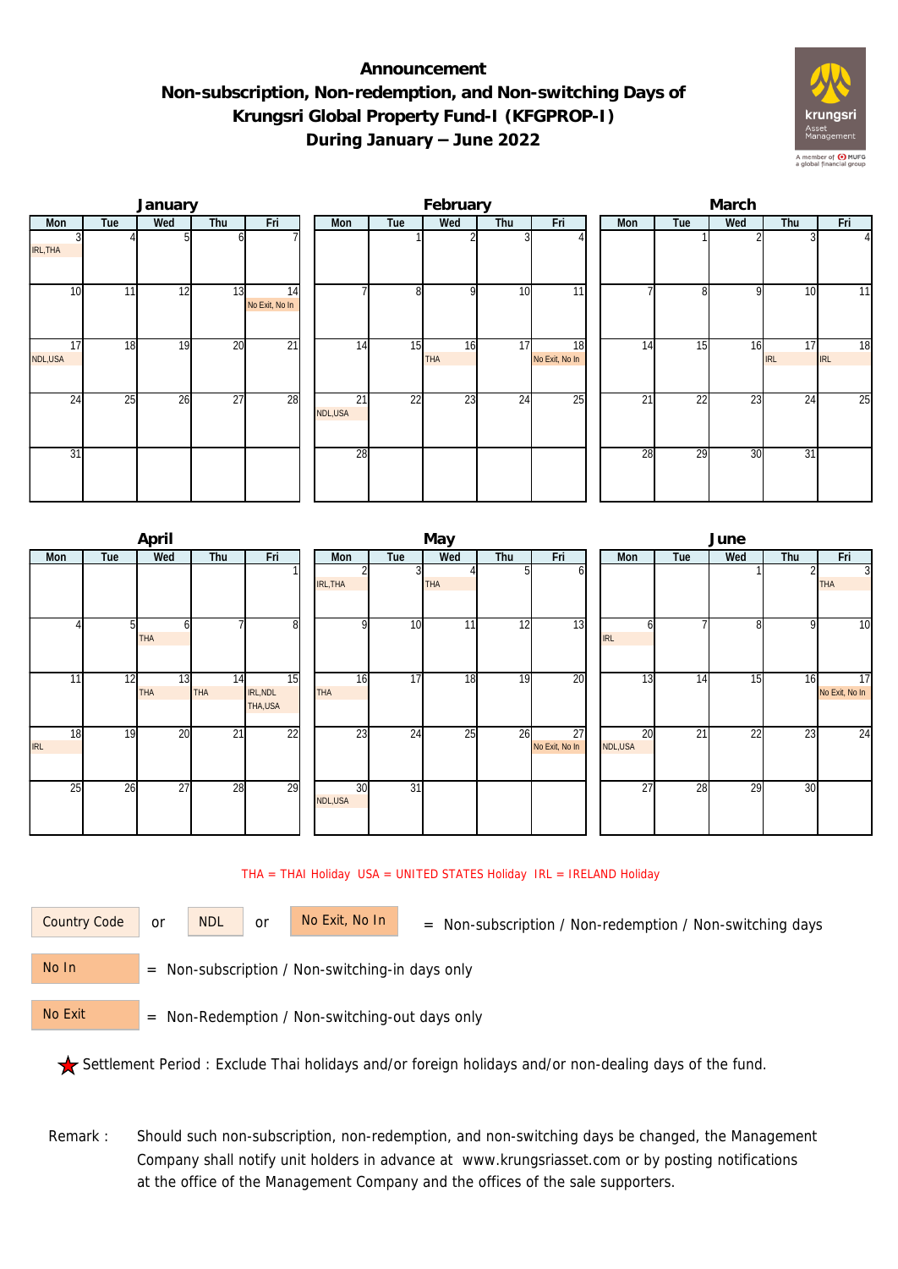## **Announcement Non-subscription, Non-redemption, and Non-switching Days of Krungsri Global Property Fund-I (KFGPROP-I) During January – June 2022**



|               |     | January |                 |                      |                            |                 | February         |     |                      | March           |                 |     |                  |                  |  |  |
|---------------|-----|---------|-----------------|----------------------|----------------------------|-----------------|------------------|-----|----------------------|-----------------|-----------------|-----|------------------|------------------|--|--|
| Mon           | Tue | Wed     | Thu             | Fri                  | Mon                        | Tue             | Wed              | Thu | Fri                  | Mon             | Tue             | Wed | Thu              | Fri              |  |  |
| IRL, THA      |     |         |                 |                      |                            |                 |                  |     |                      |                 |                 |     |                  | $\overline{4}$   |  |  |
| 10            | 11  | 12      | 13              | 14<br>No Exit, No In |                            | 8 <sup>1</sup>  | C                | 10  | 11                   |                 | n               | Q   | 10               | 11               |  |  |
| 17<br>NDL,USA | 18  | 19      | 20              | $\overline{21}$      | 14                         | 15              | 16<br><b>THA</b> | 17  | 18<br>No Exit, No In | 14              | 15              | 16  | 17<br><b>IRL</b> | 18<br><b>IRL</b> |  |  |
| 24            | 25  | 26      | $\overline{27}$ | 28                   | $\overline{21}$<br>NDL,USA | $\overline{22}$ | 23               | 24  | 25                   | $\overline{21}$ | $\overline{22}$ | 23  | 24               | 25               |  |  |
| 31            |     |         |                 |                      | 28                         |                 |                  |     |                      | 28              | 29              | 30  | 31               |                  |  |  |

|                  |     | April            |                  |                            | May              |     |                 |     |                      |  | June          |                 |                 |                 |                              |  |  |
|------------------|-----|------------------|------------------|----------------------------|------------------|-----|-----------------|-----|----------------------|--|---------------|-----------------|-----------------|-----------------|------------------------------|--|--|
| <b>Mon</b>       | Tue | Wed              | Thu              | Fri                        | Mon              | Tue | Wed             | Thu | Fri                  |  | <b>Mon</b>    | Tue             | Wed             | Thu             | Fri                          |  |  |
|                  |     |                  |                  |                            | IRL, THA         | 3   | THA             |     | b                    |  |               |                 |                 |                 | $\overline{3}$<br><b>THA</b> |  |  |
|                  |     | ΩI<br><b>THA</b> |                  | 8 <sup>l</sup>             |                  | 10  | 11 <sub>1</sub> | 12  | 13                   |  | <b>IRL</b>    |                 | 8               | 9               | 10                           |  |  |
| 11               | 12  | 13<br><b>THA</b> | 14<br><b>THA</b> | 15<br>IRL, NDL<br>THA, USA | 16<br><b>THA</b> | 17  | 18              | 19  | 20                   |  | 13            | 14              | 15              | 16              | 17<br>No Exit, No In         |  |  |
| 18<br><b>IRL</b> | 19  | 20               | $\overline{21}$  | 22                         | 23               | 24  | 25              | 26  | 27<br>No Exit, No In |  | 20<br>NDL,USA | $\overline{21}$ | $\overline{22}$ | $\overline{23}$ | 24                           |  |  |
| 25               | 26  | 27               | 28               | 29                         | 30<br>NDL,USA    | 31  |                 |     |                      |  | 27            | 28              | 29              | 30              |                              |  |  |

## THA = THAI Holiday USA = UNITED STATES Holiday IRL = IRELAND Holiday

| Country Code | $\Omega$ |
|--------------|----------|
|              |          |

or NDL or

Country Code or NDL or No Exit, No In  $=$  Non-subscription / Non-redemption / Non-switching days

 = Non-subscription / Non-switching-in days only No In

 = Non-Redemption / Non-switching-out days only No Exit

Settlement Period : Exclude Thai holidays and/or foreign holidays and/or non-dealing days of the fund.

Remark : Should such non-subscription, non-redemption, and non-switching days be changed, the Management Company shall notify unit holders in advance at www.krungsriasset.com or by posting notifications at the office of the Management Company and the offices of the sale supporters.